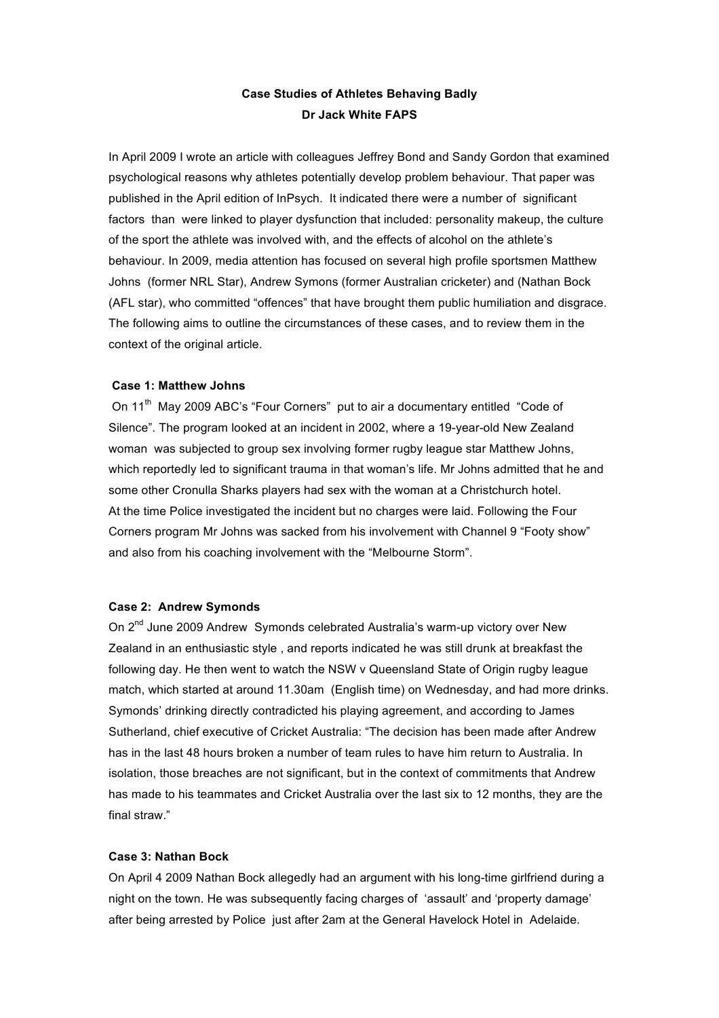# **Case Studies of Athletes Behaving Badly Dr Jack White FAPS**

In April 2009 I wrote an article with colleagues Jeffrey Bond and Sandy Gordon that examined psychological reasons why athletes potentially develop problem behaviour. That paper was published in the April edition of InPsych. It indicated there were a number of significant factors than were linked to player dysfunction that included: personality makeup, the culture of the sport the athlete was involved with, and the effects of alcohol on the athlete's behaviour. In 2009, media attention has focused on several high profile sportsmen Matthew Johns (former NRL Star), Andrew Symons (former Australian cricketer) and (Nathan Bock (AFL star), who committed "offences" that have brought them public humiliation and disgrace. The following aims to outline the circumstances of these cases, and to review them in the context of the original article.

# **Case 1: Matthew Johns**

On 11<sup>th</sup> May 2009 ABC's "Four Corners" put to air a documentary entitled "Code of Silence". The program looked at an incident in 2002, where a 19-year-old New Zealand woman was subjected to group sex involving former rugby league star Matthew Johns, which reportedly led to significant trauma in that woman's life. Mr Johns admitted that he and some other Cronulla Sharks players had sex with the woman at a Christchurch hotel. At the time Police investigated the incident but no charges were laid. Following the Four Corners program Mr Johns was sacked from his involvement with Channel 9 "Footy show" and also from his coaching involvement with the "Melbourne Storm".

#### **Case 2: Andrew Symonds**

On 2<sup>nd</sup> June 2009 Andrew Symonds celebrated Australia's warm-up victory over New Zealand in an enthusiastic style , and reports indicated he was still drunk at breakfast the following day. He then went to watch the NSW v Queensland State of Origin rugby league match, which started at around 11.30am (English time) on Wednesday, and had more drinks. Symonds' drinking directly contradicted his playing agreement, and according to James Sutherland, chief executive of Cricket Australia: "The decision has been made after Andrew has in the last 48 hours broken a number of team rules to have him return to Australia. In isolation, those breaches are not significant, but in the context of commitments that Andrew has made to his teammates and Cricket Australia over the last six to 12 months, they are the final straw."

### **Case 3: Nathan Bock**

On April 4 2009 Nathan Bock allegedly had an argument with his long-time girlfriend during a night on the town. He was subsequently facing charges of 'assault' and 'property damage' after being arrested by Police just after 2am at the General Havelock Hotel in Adelaide.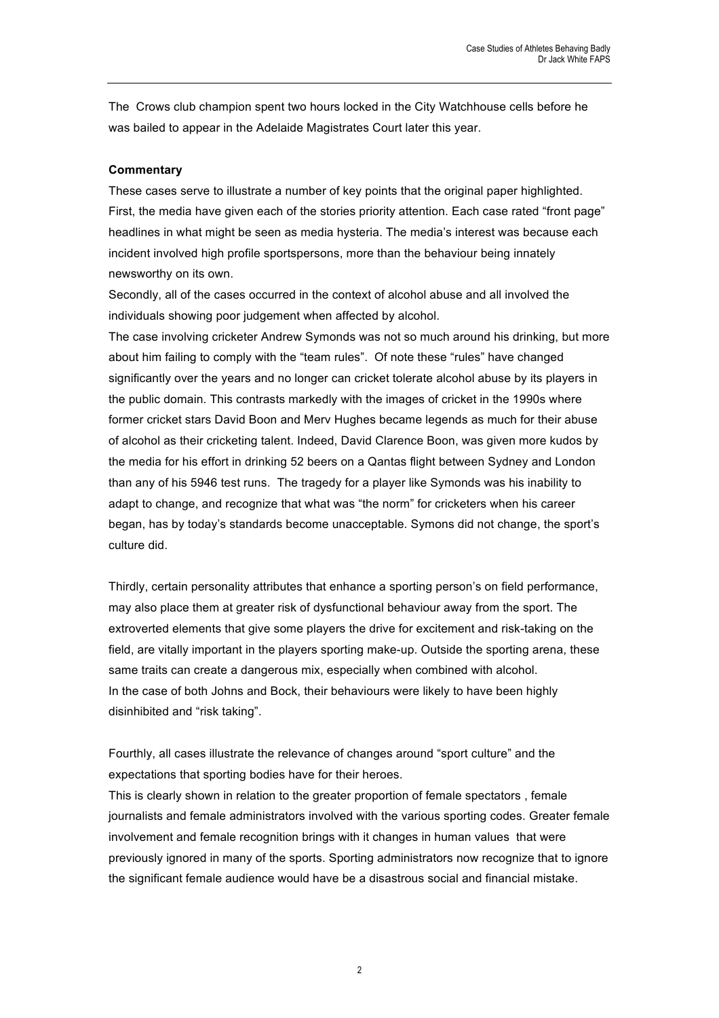The Crows club champion spent two hours locked in the City Watchhouse cells before he was bailed to appear in the Adelaide Magistrates Court later this year.

## **Commentary**

These cases serve to illustrate a number of key points that the original paper highlighted. First, the media have given each of the stories priority attention. Each case rated "front page" headlines in what might be seen as media hysteria. The media's interest was because each incident involved high profile sportspersons, more than the behaviour being innately newsworthy on its own.

Secondly, all of the cases occurred in the context of alcohol abuse and all involved the individuals showing poor judgement when affected by alcohol.

The case involving cricketer Andrew Symonds was not so much around his drinking, but more about him failing to comply with the "team rules". Of note these "rules" have changed significantly over the years and no longer can cricket tolerate alcohol abuse by its players in the public domain. This contrasts markedly with the images of cricket in the 1990s where former cricket stars David Boon and Merv Hughes became legends as much for their abuse of alcohol as their cricketing talent. Indeed, David Clarence Boon, was given more kudos by the media for his effort in drinking 52 beers on a Qantas flight between Sydney and London than any of his 5946 test runs. The tragedy for a player like Symonds was his inability to adapt to change, and recognize that what was "the norm" for cricketers when his career began, has by today's standards become unacceptable. Symons did not change, the sport's culture did.

Thirdly, certain personality attributes that enhance a sporting person's on field performance, may also place them at greater risk of dysfunctional behaviour away from the sport. The extroverted elements that give some players the drive for excitement and risk-taking on the field, are vitally important in the players sporting make-up. Outside the sporting arena, these same traits can create a dangerous mix, especially when combined with alcohol. In the case of both Johns and Bock, their behaviours were likely to have been highly disinhibited and "risk taking".

Fourthly, all cases illustrate the relevance of changes around "sport culture" and the expectations that sporting bodies have for their heroes.

This is clearly shown in relation to the greater proportion of female spectators , female journalists and female administrators involved with the various sporting codes. Greater female involvement and female recognition brings with it changes in human values that were previously ignored in many of the sports. Sporting administrators now recognize that to ignore the significant female audience would have be a disastrous social and financial mistake.

2